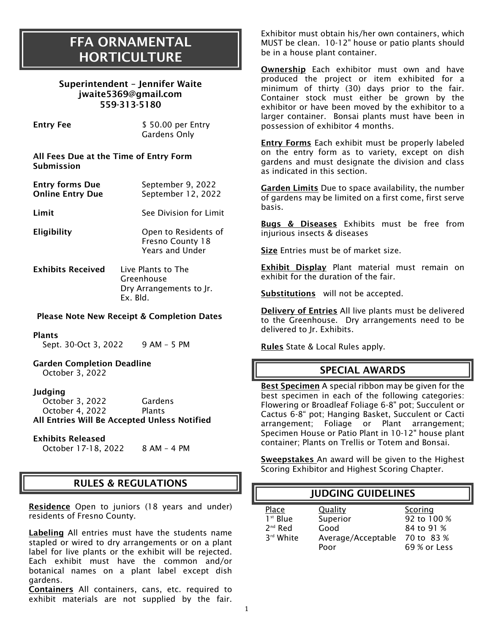## FFA ORNAMENTAL **HORTICULTURE**

| Superintendent - Jennifer Waite |
|---------------------------------|
| jwaite5369@gmail.com            |
| 559-313-5180                    |

| Entry Fee | \$50.00 per Entry                      |
|-----------|----------------------------------------|
|           | Gardens Only                           |
|           | All Foos Due at the Time of Entry Form |

All Fees Due at the Time of Entry Form Submission

| <b>Entry forms Due</b>  | September 9, 2022  |
|-------------------------|--------------------|
| <b>Online Entry Due</b> | September 12, 2022 |

Limit See Division for Limit

Eligibility Open to Residents of Fresno County 18 Years and Under

Exhibits Received Live Plants to The Greenhouse Dry Arrangements to Jr. Ex. Bld.

#### Please Note New Receipt & Completion Dates

#### Plants

Sept. 30-Oct 3, 2022 9 AM - 5 PM

Garden Completion Deadline October 3, 2022

#### Judging

October 3, 2022 Gardens October 4, 2022 Plants All Entries Will Be Accepted Unless Notified

#### Exhibits Released

October 17-18, 2022 8 AM– 4 PM

## RULES & REGULATIONS

Residence Open to juniors (18 years and under) residents of Fresno County.

Labeling All entries must have the students name stapled or wired to dry arrangements or on a plant label for live plants or the exhibit will be rejected. Each exhibit must have the common and/or botanical names on a plant label except dish gardens.

Containers All containers, cans, etc. required to exhibit materials are not supplied by the fair.

Exhibitor must obtain his/her own containers, which MUST be clean. 10-12" house or patio plants should be in a house plant container.

Ownership Each exhibitor must own and have produced the project or item exhibited for a minimum of thirty (30) days prior to the fair. Container stock must either be grown by the exhibitor or have been moved by the exhibitor to a larger container. Bonsai plants must have been in possession of exhibitor 4 months.

Entry Forms Each exhibit must be properly labeled on the entry form as to variety, except on dish gardens and must designate the division and class as indicated in this section.

Garden Limits Due to space availability, the number of gardens may be limited on a first come, first serve basis.

**Bugs & Diseases** Exhibits must be free from injurious insects & diseases

Size Entries must be of market size.

Exhibit Display Plant material must remain on exhibit for the duration of the fair.

Substitutions will not be accepted.

Delivery of Entries All live plants must be delivered to the Greenhouse. Dry arrangements need to be delivered to Jr. Exhibits.

Rules State & Local Rules apply.

## SPECIAL AWARDS

Best Specimen A special ribbon may be given for the best specimen in each of the following categories: Flowering or Broadleaf Foliage 6-8" pot; Succulent or Cactus 6-8" pot; Hanging Basket, Succulent or Cacti arrangement; Foliage or Plant arrangement; Specimen House or Patio Plant in 10-12" house plant container; Plants on Trellis or Totem and Bonsai.

Sweepstakes An award will be given to the Highest Scoring Exhibitor and Highest Scoring Chapter.

| <b>JUDGING GUIDELINES</b>                     |                                                           |                                                                    |
|-----------------------------------------------|-----------------------------------------------------------|--------------------------------------------------------------------|
| Place<br>$1st$ Blue<br>$2nd$ Red<br>3rd White | Quality<br>Superior<br>Good<br>Average/Acceptable<br>Poor | Scoring<br>92 to 100 %<br>84 to 91 %<br>70 to 83 %<br>69 % or Less |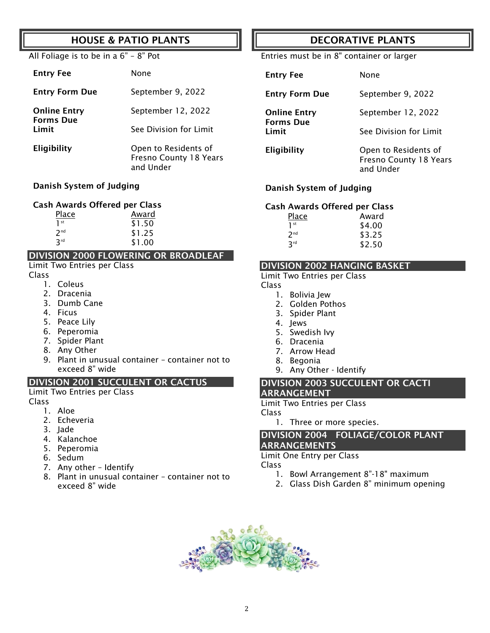## HOUSE & PATIO PLANTS

#### All Foliage is to be in a 6" – 8" Pot

| <b>Entry Fee</b>          | None                                                        |
|---------------------------|-------------------------------------------------------------|
| <b>Entry Form Due</b>     | September 9, 2022                                           |
| <b>Online Entry</b>       | September 12, 2022                                          |
| <b>Forms Due</b><br>Limit | See Division for Limit                                      |
| Eligibility               | Open to Residents of<br>Fresno County 18 Years<br>and Under |

#### Danish System of Judging

#### Cash Awards Offered per Class

| Place           | Award  |
|-----------------|--------|
| 1 <sup>st</sup> | \$1.50 |
| 7 <sub>nd</sub> | \$1.25 |
| 3rd             | \$1.00 |

#### DIVISION 2000 FLOWERING OR BROADLEAF

#### Limit Two Entries per Class

- Class
	- 1. Coleus
	- 2. Dracenia
	- 3. Dumb Cane
	- 4. Ficus
	- 5. Peace Lily
	- 6. Peperomia
	- 7. Spider Plant
	- 8. Any Other
	- 9. Plant in unusual container container not to exceed 8" wide

#### DIVISION 2001 SUCCULENT OR CACTUS

#### Limit Two Entries per Class

#### Class

- 1. Aloe
- 2. Echeveria
- 3. Jade
- 4. Kalanchoe
- 5. Peperomia
- 6. Sedum
- 7. Any other Identify
- 8. Plant in unusual container container not to exceed 8" wide

## DECORATIVE PLANTS

Entries must be in 8" container or larger

| <b>Entry Fee</b>                                 | None                                                               |
|--------------------------------------------------|--------------------------------------------------------------------|
| <b>Entry Form Due</b>                            | September 9, 2022                                                  |
| <b>Online Entry</b><br><b>Forms Due</b><br>Limit | September 12, 2022                                                 |
|                                                  | See Division for Limit                                             |
| Eligibility                                      | Open to Residents of<br><b>Fresno County 18 Years</b><br>and Under |

#### Danish System of Judging

#### Cash Awards Offered per Class

| <u>Place</u>    | Award  |
|-----------------|--------|
| 1 <sup>st</sup> | \$4.00 |
| 2 <sub>nd</sub> | \$3.25 |
| 3 <sup>rd</sup> | \$2.50 |

#### DIVISION 2002 HANGING BASKET

Limit Two Entries per Class

- Class
	- 1. Bolivia Jew
	- 2. Golden Pothos
	- 3. Spider Plant
	- 4. Jews
	- 5. Swedish Ivy
	- 6. Dracenia
	- 7. Arrow Head
	- 8. Begonia
	- 9. Any Other Identify

#### DIVISION 2003 SUCCULENT OR CACTI ARRANGEMENT

Limit Two Entries per Class

#### Class

1. Three or more species.

#### DIVISION 2004 FOLIAGE/COLOR PLANT ARRANGEMENTS

#### Limit One Entry per Class

Class

- 1. Bowl Arrangement 8"-18" maximum
- 2. Glass Dish Garden 8" minimum opening

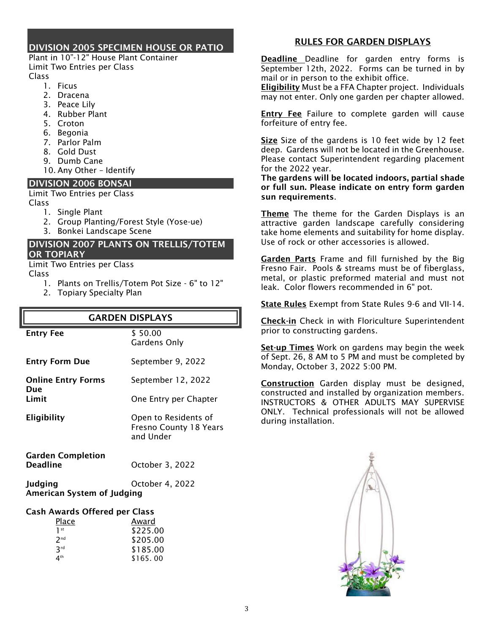#### DIVISION 2005 SPECIMEN HOUSE OR PATIO

Plant in 10"-12" House Plant Container Limit Two Entries per Class Class

- 1. Ficus
- 2. Dracena
- 3. Peace Lily
- 4. Rubber Plant
- 5. Croton
- 6. Begonia
- 7. Parlor Palm
- 8. Gold Dust
- 9. Dumb Cane
- 10. Any Other Identify

#### DIVISION 2006 BONSAI

Limit Two Entries per Class Class

- 1. Single Plant
- 2. Group Planting/Forest Style (Yose-ue)
- 3. Bonkei Landscape Scene

#### DIVISION 2007 PLANTS ON TRELLIS/TOTEM OR TOPIARY

Limit Two Entries per Class

Class

- 1. Plants on Trellis/Totem Pot Size 6" to 12"
- 2. Topiary Specialty Plan

## GARDEN DISPLAYS

| <b>Entry Fee</b>                            | \$50.00<br>Gardens Only                                     |
|---------------------------------------------|-------------------------------------------------------------|
| <b>Entry Form Due</b>                       | September 9, 2022                                           |
| <b>Online Entry Forms</b><br>Due            | September 12, 2022                                          |
| Limit                                       | One Entry per Chapter                                       |
| Eligibility                                 | Open to Residents of<br>Fresno County 18 Years<br>and Under |
| <b>Garden Completion</b><br><b>Deadline</b> | October 3, 2022                                             |
| Judging<br>American System of Iudging       | October 4, 2022                                             |

#### Cash Awards Offered per Class

| Place           | Award    |
|-----------------|----------|
| 1 <sup>st</sup> | \$225.00 |
| 2 <sub>nd</sub> | \$205.00 |
| 3rd             | \$185.00 |
| 4 <sup>th</sup> | \$165.00 |

#### RULES FOR GARDEN DISPLAYS

Deadline Deadline for garden entry forms is September 12th, 2022. Forms can be turned in by mail or in person to the exhibit office.

**Eligibility** Must be a FFA Chapter project. Individuals may not enter. Only one garden per chapter allowed.

**Entry Fee** Failure to complete garden will cause forfeiture of entry fee.

Size Size of the gardens is 10 feet wide by 12 feet deep. Gardens will not be located in the Greenhouse. Please contact Superintendent regarding placement for the 2022 year.

The gardens will be located indoors, partial shade or full sun. Please indicate on entry form garden sun requirements.

Theme The theme for the Garden Displays is an attractive garden landscape carefully considering take home elements and suitability for home display. Use of rock or other accessories is allowed.

Garden Parts Frame and fill furnished by the Big Fresno Fair. Pools & streams must be of fiberglass, metal, or plastic preformed material and must not leak. Color flowers recommended in 6" pot.

State Rules Exempt from State Rules 9-6 and VII-14.

Check-in Check in with Floriculture Superintendent prior to constructing gardens.

Set-up Times Work on gardens may begin the week of Sept. 26, 8 AM to 5 PM and must be completed by Monday, October 3, 2022 5:00 PM.

Construction Garden display must be designed, constructed and installed by organization members. INSTRUCTORS & OTHER ADULTS MAY SUPERVISE ONLY. Technical professionals will not be allowed during installation.